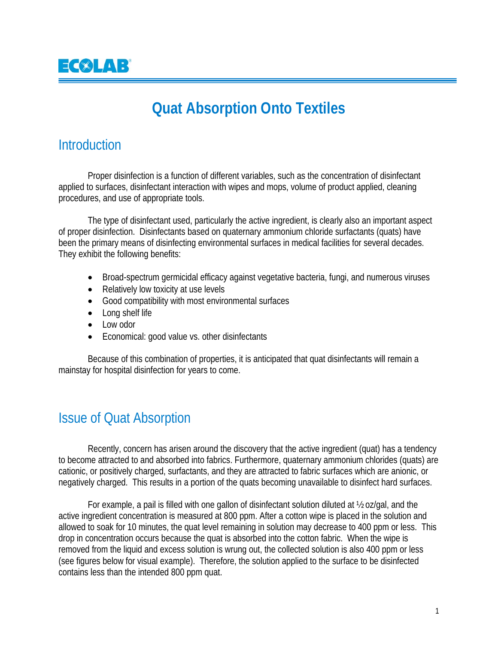# **Quat Absorption Onto Textiles**

#### **Introduction**

 Proper disinfection is a function of different variables, such as the concentration of disinfectant applied to surfaces, disinfectant interaction with wipes and mops, volume of product applied, cleaning procedures, and use of appropriate tools.

The type of disinfectant used, particularly the active ingredient, is clearly also an important aspect of proper disinfection. Disinfectants based on quaternary ammonium chloride surfactants (quats) have been the primary means of disinfecting environmental surfaces in medical facilities for several decades. They exhibit the following benefits:

- Broad-spectrum germicidal efficacy against vegetative bacteria, fungi, and numerous viruses
- Relatively low toxicity at use levels
- Good compatibility with most environmental surfaces
- Long shelf life
- Low odor
- Economical: good value vs. other disinfectants

Because of this combination of properties, it is anticipated that quat disinfectants will remain a mainstay for hospital disinfection for years to come.

#### Issue of Quat Absorption

Recently, concern has arisen around the discovery that the active ingredient (quat) has a tendency to become attracted to and absorbed into fabrics. Furthermore, quaternary ammonium chlorides (quats) are cationic, or positively charged, surfactants, and they are attracted to fabric surfaces which are anionic, or negatively charged. This results in a portion of the quats becoming unavailable to disinfect hard surfaces.

For example, a pail is filled with one gallon of disinfectant solution diluted at ½ oz/gal, and the active ingredient concentration is measured at 800 ppm. After a cotton wipe is placed in the solution and allowed to soak for 10 minutes, the quat level remaining in solution may decrease to 400 ppm or less. This drop in concentration occurs because the quat is absorbed into the cotton fabric. When the wipe is removed from the liquid and excess solution is wrung out, the collected solution is also 400 ppm or less (see figures below for visual example). Therefore, the solution applied to the surface to be disinfected contains less than the intended 800 ppm quat.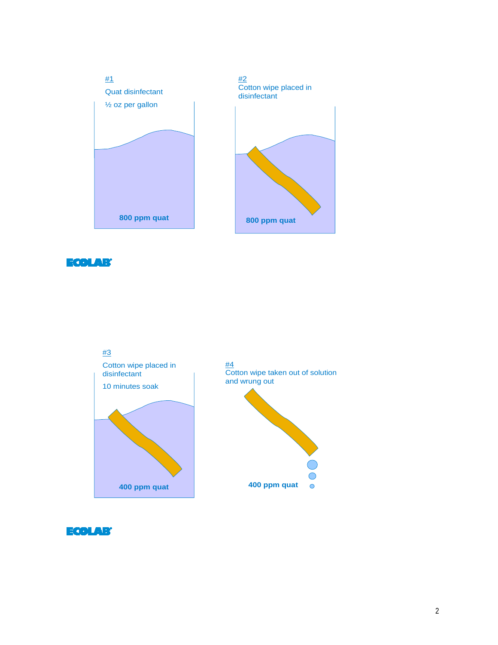

ECOLAB



**ECOLAR**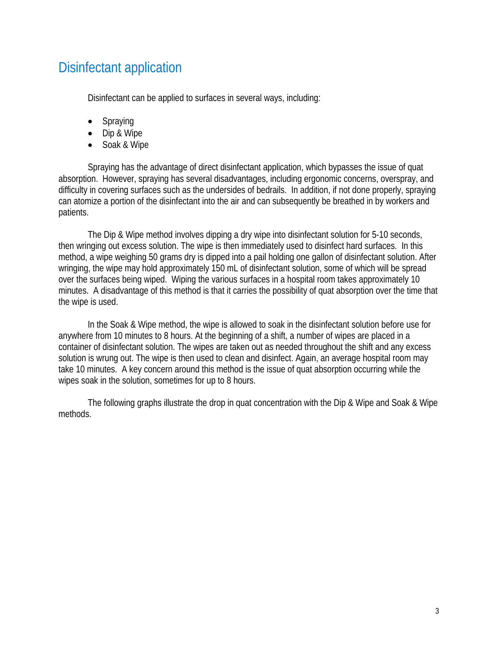### Disinfectant application

Disinfectant can be applied to surfaces in several ways, including:

- Spraying
- Dip & Wipe
- Soak & Wipe

Spraying has the advantage of direct disinfectant application, which bypasses the issue of quat absorption. However, spraying has several disadvantages, including ergonomic concerns, overspray, and difficulty in covering surfaces such as the undersides of bedrails. In addition, if not done properly, spraying can atomize a portion of the disinfectant into the air and can subsequently be breathed in by workers and patients.

The Dip & Wipe method involves dipping a dry wipe into disinfectant solution for 5-10 seconds, then wringing out excess solution. The wipe is then immediately used to disinfect hard surfaces. In this method, a wipe weighing 50 grams dry is dipped into a pail holding one gallon of disinfectant solution. After wringing, the wipe may hold approximately 150 mL of disinfectant solution, some of which will be spread over the surfaces being wiped. Wiping the various surfaces in a hospital room takes approximately 10 minutes. A disadvantage of this method is that it carries the possibility of quat absorption over the time that the wipe is used.

In the Soak & Wipe method, the wipe is allowed to soak in the disinfectant solution before use for anywhere from 10 minutes to 8 hours. At the beginning of a shift, a number of wipes are placed in a container of disinfectant solution. The wipes are taken out as needed throughout the shift and any excess solution is wrung out. The wipe is then used to clean and disinfect. Again, an average hospital room may take 10 minutes. A key concern around this method is the issue of quat absorption occurring while the wipes soak in the solution, sometimes for up to 8 hours.

The following graphs illustrate the drop in quat concentration with the Dip & Wipe and Soak & Wipe methods.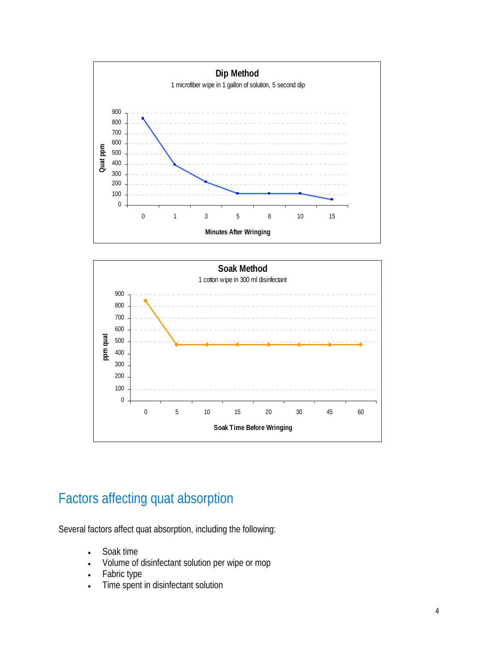



### Factors affecting quat absorption

Several factors affect quat absorption, including the following:

- Soak time
- Volume of disinfectant solution per wipe or mop
- Fabric type
- Time spent in disinfectant solution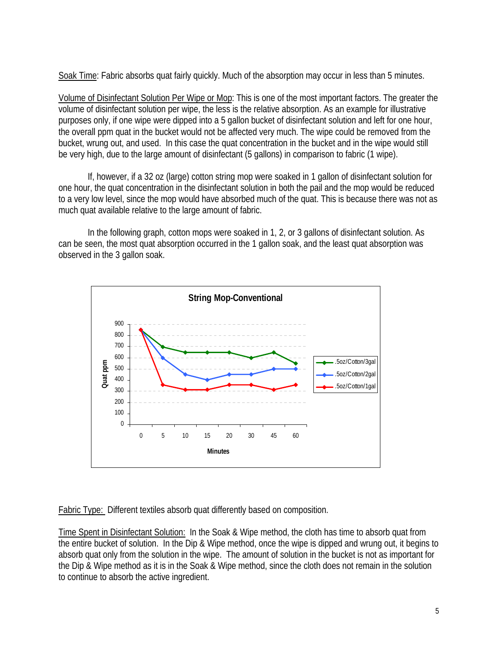Soak Time: Fabric absorbs quat fairly quickly. Much of the absorption may occur in less than 5 minutes.

Volume of Disinfectant Solution Per Wipe or Mop: This is one of the most important factors. The greater the volume of disinfectant solution per wipe, the less is the relative absorption. As an example for illustrative purposes only, if one wipe were dipped into a 5 gallon bucket of disinfectant solution and left for one hour, the overall ppm quat in the bucket would not be affected very much. The wipe could be removed from the bucket, wrung out, and used. In this case the quat concentration in the bucket and in the wipe would still be very high, due to the large amount of disinfectant (5 gallons) in comparison to fabric (1 wipe).

If, however, if a 32 oz (large) cotton string mop were soaked in 1 gallon of disinfectant solution for one hour, the quat concentration in the disinfectant solution in both the pail and the mop would be reduced to a very low level, since the mop would have absorbed much of the quat. This is because there was not as much quat available relative to the large amount of fabric.

In the following graph, cotton mops were soaked in 1, 2, or 3 gallons of disinfectant solution. As can be seen, the most quat absorption occurred in the 1 gallon soak, and the least quat absorption was observed in the 3 gallon soak.



Fabric Type: Different textiles absorb quat differently based on composition.

Time Spent in Disinfectant Solution: In the Soak & Wipe method, the cloth has time to absorb quat from the entire bucket of solution. In the Dip & Wipe method, once the wipe is dipped and wrung out, it begins to absorb quat only from the solution in the wipe. The amount of solution in the bucket is not as important for the Dip & Wipe method as it is in the Soak & Wipe method, since the cloth does not remain in the solution to continue to absorb the active ingredient.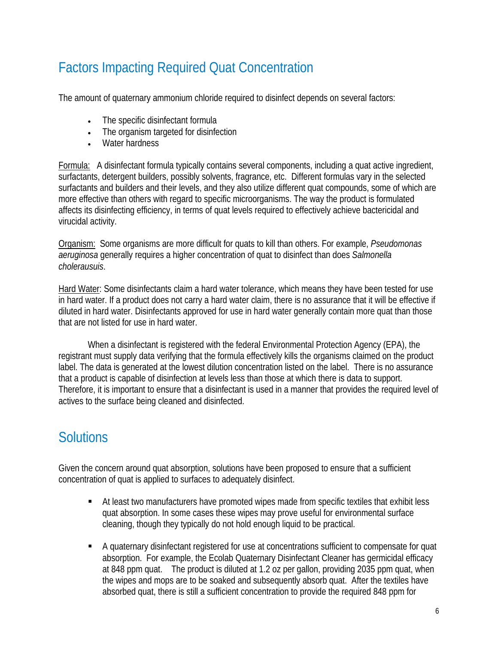# Factors Impacting Required Quat Concentration

The amount of quaternary ammonium chloride required to disinfect depends on several factors:

- The specific disinfectant formula
- The organism targeted for disinfection
- Water hardness

Formula: A disinfectant formula typically contains several components, including a quat active ingredient, surfactants, detergent builders, possibly solvents, fragrance, etc. Different formulas vary in the selected surfactants and builders and their levels, and they also utilize different quat compounds, some of which are more effective than others with regard to specific microorganisms. The way the product is formulated affects its disinfecting efficiency, in terms of quat levels required to effectively achieve bactericidal and virucidal activity.

Organism: Some organisms are more difficult for quats to kill than others. For example, *Pseudomonas aeruginosa* generally requires a higher concentration of quat to disinfect than does *Salmonella cholerausuis*.

Hard Water: Some disinfectants claim a hard water tolerance, which means they have been tested for use in hard water. If a product does not carry a hard water claim, there is no assurance that it will be effective if diluted in hard water. Disinfectants approved for use in hard water generally contain more quat than those that are not listed for use in hard water.

When a disinfectant is registered with the federal Environmental Protection Agency (EPA), the registrant must supply data verifying that the formula effectively kills the organisms claimed on the product label. The data is generated at the lowest dilution concentration listed on the label. There is no assurance that a product is capable of disinfection at levels less than those at which there is data to support. Therefore, it is important to ensure that a disinfectant is used in a manner that provides the required level of actives to the surface being cleaned and disinfected.

## **Solutions**

Given the concern around quat absorption, solutions have been proposed to ensure that a sufficient concentration of quat is applied to surfaces to adequately disinfect.

- At least two manufacturers have promoted wipes made from specific textiles that exhibit less quat absorption. In some cases these wipes may prove useful for environmental surface cleaning, though they typically do not hold enough liquid to be practical.
- A quaternary disinfectant registered for use at concentrations sufficient to compensate for quat absorption. For example, the Ecolab Quaternary Disinfectant Cleaner has germicidal efficacy at 848 ppm quat. The product is diluted at 1.2 oz per gallon, providing 2035 ppm quat, when the wipes and mops are to be soaked and subsequently absorb quat. After the textiles have absorbed quat, there is still a sufficient concentration to provide the required 848 ppm for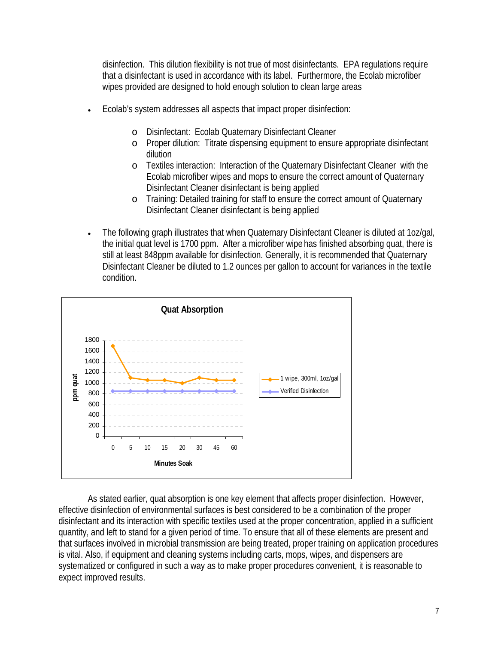disinfection. This dilution flexibility is not true of most disinfectants. EPA regulations require that a disinfectant is used in accordance with its label. Furthermore, the Ecolab microfiber wipes provided are designed to hold enough solution to clean large areas

- Ecolab's system addresses all aspects that impact proper disinfection:
	- o Disinfectant: Ecolab Quaternary Disinfectant Cleaner
	- o Proper dilution: Titrate dispensing equipment to ensure appropriate disinfectant dilution
	- o Textiles interaction: Interaction of the Quaternary Disinfectant Cleaner with the Ecolab microfiber wipes and mops to ensure the correct amount of Quaternary Disinfectant Cleaner disinfectant is being applied
	- o Training: Detailed training for staff to ensure the correct amount of Quaternary Disinfectant Cleaner disinfectant is being applied
- The following graph illustrates that when Quaternary Disinfectant Cleaner is diluted at 1oz/gal, the initial quat level is 1700 ppm. After a microfiber wipe has finished absorbing quat, there is still at least 848ppm available for disinfection. Generally, it is recommended that Quaternary Disinfectant Cleaner be diluted to 1.2 ounces per gallon to account for variances in the textile condition.



As stated earlier, quat absorption is one key element that affects proper disinfection. However, effective disinfection of environmental surfaces is best considered to be a combination of the proper disinfectant and its interaction with specific textiles used at the proper concentration, applied in a sufficient quantity, and left to stand for a given period of time. To ensure that all of these elements are present and that surfaces involved in microbial transmission are being treated, proper training on application procedures is vital. Also, if equipment and cleaning systems including carts, mops, wipes, and dispensers are systematized or configured in such a way as to make proper procedures convenient, it is reasonable to expect improved results.